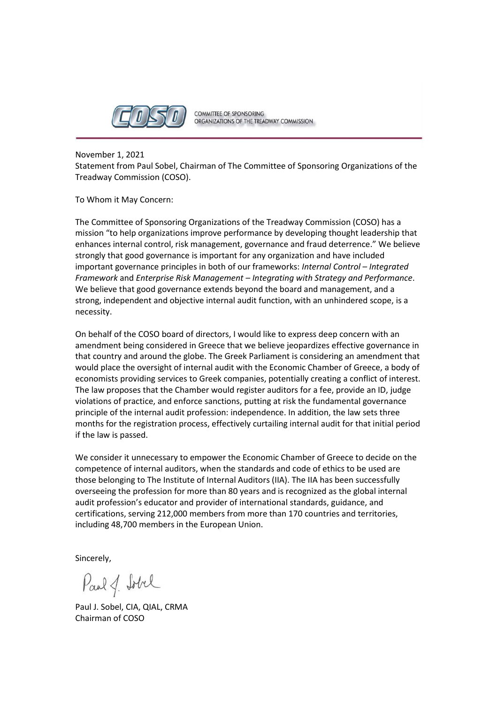

**COMMITTEE OF SPONSORING** ORGANIZATIONS OF THE TREADWAY COMMISSION

November 1, 2021

Statement from Paul Sobel, Chairman of The Committee of Sponsoring Organizations of the Treadway Commission (COSO).

To Whom it May Concern:

The Committee of Sponsoring Organizations of the Treadway Commission (COSO) has a mission "to help organizations improve performance by developing thought leadership that enhances internal control, risk management, governance and fraud deterrence." We believe strongly that good governance is important for any organization and have included important governance principles in both of our frameworks: *Internal Control – Integrated Framework* and *Enterprise Risk Management – Integrating with Strategy and Performance*. We believe that good governance extends beyond the board and management, and a strong, independent and objective internal audit function, with an unhindered scope, is a necessity.

On behalf of the COSO board of directors, I would like to express deep concern with an amendment being considered in Greece that we believe jeopardizes effective governance in that country and around the globe. The Greek Parliament is considering an amendment that would place the oversight of internal audit with the Economic Chamber of Greece, a body of economists providing services to Greek companies, potentially creating a conflict of interest. The law proposes that the Chamber would register auditors for a fee, provide an ID, judge violations of practice, and enforce sanctions, putting at risk the fundamental governance principle of the internal audit profession: independence. In addition, the law sets three months for the registration process, effectively curtailing internal audit for that initial period if the law is passed.

We consider it unnecessary to empower the Economic Chamber of Greece to decide on the competence of internal auditors, when the standards and code of ethics to be used are those belonging to The Institute of Internal Auditors (IIA). The IIA has been successfully overseeing the profession for more than 80 years and is recognized as the global internal audit profession's educator and provider of international standards, guidance, and certifications, serving 212,000 members from more than 170 countries and territories, including 48,700 members in the European Union.

Sincerely,

Paul & Iobel

Paul J. Sobel, CIA, QIAL, CRMA Chairman of COSO